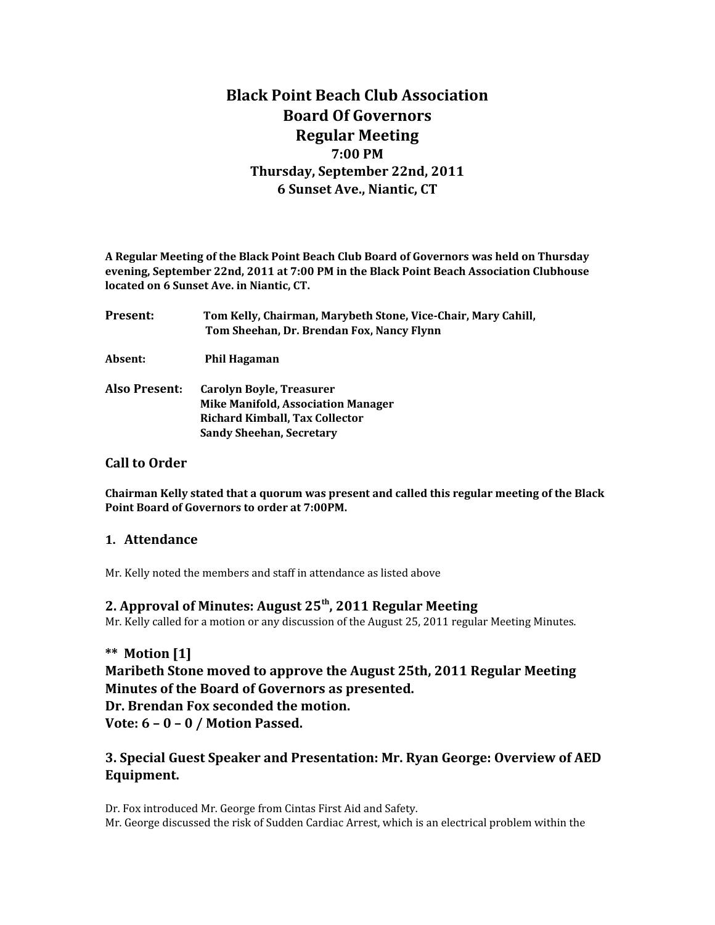# **Black Point Beach Club Association Board Of Governors Regular Meeting 7:00 PM Thursday, September 22nd, 2011 6 Sunset Ave., Niantic, CT**

**A Regular Meeting of the Black Point Beach Club Board of Governors was held on Thursday evening, September 22nd, 2011 at 7:00 PM in the Black Point Beach Association Clubhouse located on 6 Sunset Ave. in Niantic, CT.**

| <b>Present:</b> | Tom Kelly, Chairman, Marybeth Stone, Vice-Chair, Mary Cahill,<br>Tom Sheehan, Dr. Brendan Fox, Nancy Flynn                                 |
|-----------------|--------------------------------------------------------------------------------------------------------------------------------------------|
| Absent:         | Phil Hagaman                                                                                                                               |
| Also Present:   | Carolyn Boyle, Treasurer<br><b>Mike Manifold, Association Manager</b><br>Richard Kimball, Tax Collector<br><b>Sandy Sheehan, Secretary</b> |

#### **Call to Order**

**Chairman Kelly stated that a quorum was present and called this regular meeting of the Black Point Board of Governors to order at 7:00PM.** 

### **1. Attendance**

Mr. Kelly noted the members and staff in attendance as listed above

### **2. Approval of Minutes: August 25th, 2011 Regular Meeting**

Mr. Kelly called for a motion or any discussion of the August 25, 2011 regular Meeting Minutes.

**\*\* Motion [1] Maribeth Stone moved to approve the August 25th, 2011 Regular Meeting Minutes of the Board of Governors as presented. Dr. Brendan Fox seconded the motion. Vote: 6 – 0 – 0 / Motion Passed.**

## **3. Special Guest Speaker and Presentation: Mr. Ryan George: Overview of AED Equipment.**

Dr. Fox introduced Mr. George from Cintas First Aid and Safety. Mr. George discussed the risk of Sudden Cardiac Arrest, which is an electrical problem within the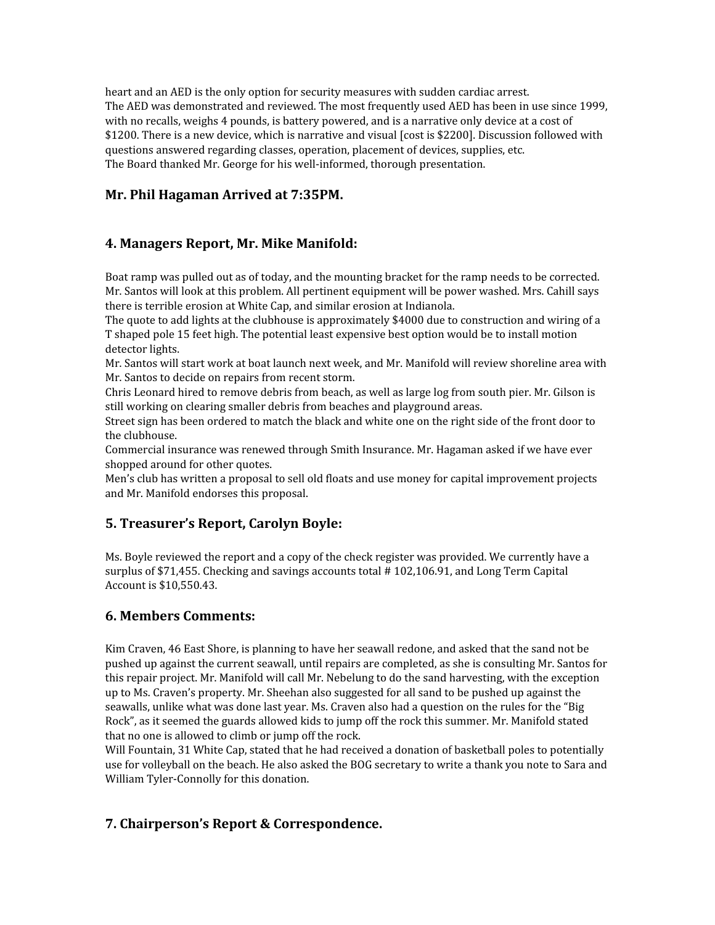heart and an AED is the only option for security measures with sudden cardiac arrest. The AED was demonstrated and reviewed. The most frequently used AED has been in use since 1999, with no recalls, weighs 4 pounds, is battery powered, and is a narrative only device at a cost of \$1200. There is a new device, which is narrative and visual [cost is \$2200]. Discussion followed with questions answered regarding classes, operation, placement of devices, supplies, etc. The Board thanked Mr. George for his well-informed, thorough presentation.

### **Mr. Phil Hagaman Arrived at 7:35PM.**

## **4. Managers Report, Mr. Mike Manifold:**

Boat ramp was pulled out as of today, and the mounting bracket for the ramp needs to be corrected. Mr. Santos will look at this problem. All pertinent equipment will be power washed. Mrs. Cahill says there is terrible erosion at White Cap, and similar erosion at Indianola.

The quote to add lights at the clubhouse is approximately \$4000 due to construction and wiring of a T shaped pole 15 feet high. The potential least expensive best option would be to install motion detector lights.

Mr. Santos will start work at boat launch next week, and Mr. Manifold will review shoreline area with Mr. Santos to decide on repairs from recent storm.

Chris Leonard hired to remove debris from beach, as well as large log from south pier. Mr. Gilson is still working on clearing smaller debris from beaches and playground areas.

Street sign has been ordered to match the black and white one on the right side of the front door to the clubhouse.

Commercial insurance was renewed through Smith Insurance. Mr. Hagaman asked if we have ever shopped around for other quotes.

Men's club has written a proposal to sell old floats and use money for capital improvement projects and Mr. Manifold endorses this proposal.

### **5. Treasurer's Report, Carolyn Boyle:**

Ms. Boyle reviewed the report and a copy of the check register was provided. We currently have a surplus of \$71,455. Checking and savings accounts total # 102,106.91, and Long Term Capital Account is \$10,550.43.

### **6. Members Comments:**

Kim Craven, 46 East Shore, is planning to have her seawall redone, and asked that the sand not be pushed up against the current seawall, until repairs are completed, as she is consulting Mr. Santos for this repair project. Mr. Manifold will call Mr. Nebelung to do the sand harvesting, with the exception up to Ms. Craven's property. Mr. Sheehan also suggested for all sand to be pushed up against the seawalls, unlike what was done last year. Ms. Craven also had a question on the rules for the "Big Rock", as it seemed the guards allowed kids to jump off the rock this summer. Mr. Manifold stated that no one is allowed to climb or jump off the rock.

Will Fountain, 31 White Cap, stated that he had received a donation of basketball poles to potentially use for volleyball on the beach. He also asked the BOG secretary to write a thank you note to Sara and William Tyler-Connolly for this donation.

### **7. Chairperson's Report & Correspondence.**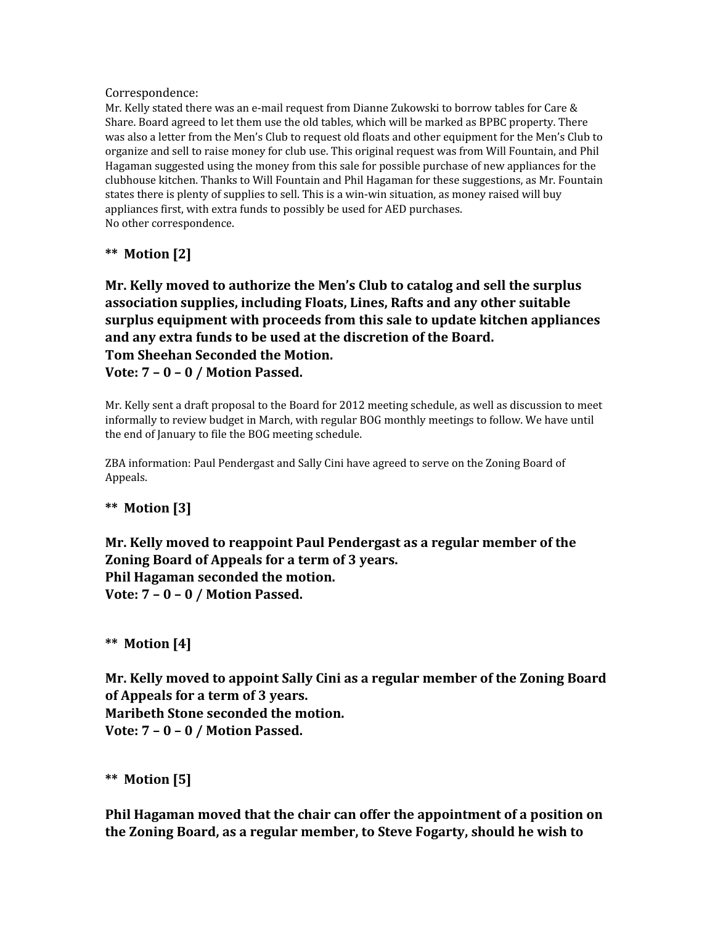#### Correspondence:

Mr. Kelly stated there was an e-mail request from Dianne Zukowski to borrow tables for Care & Share. Board agreed to let them use the old tables, which will be marked as BPBC property. There was also a letter from the Men's Club to request old floats and other equipment for the Men's Club to organize and sell to raise money for club use. This original request was from Will Fountain, and Phil Hagaman suggested using the money from this sale for possible purchase of new appliances for the clubhouse kitchen. Thanks to Will Fountain and Phil Hagaman for these suggestions, as Mr. Fountain states there is plenty of supplies to sell. This is a win-win situation, as money raised will buy appliances first, with extra funds to possibly be used for AED purchases. No other correspondence.

## **\*\* Motion [2]**

**Mr. Kelly moved to authorize the Men's Club to catalog and sell the surplus association supplies, including Floats, Lines, Rafts and any other suitable surplus equipment with proceeds from this sale to update kitchen appliances and any extra funds to be used at the discretion of the Board. Tom Sheehan Seconded the Motion. Vote: 7 – 0 – 0 / Motion Passed.**

Mr. Kelly sent a draft proposal to the Board for 2012 meeting schedule, as well as discussion to meet informally to review budget in March, with regular BOG monthly meetings to follow. We have until the end of January to file the BOG meeting schedule.

ZBA information: Paul Pendergast and Sally Cini have agreed to serve on the Zoning Board of Appeals.

## **\*\* Motion [3]**

**Mr. Kelly moved to reappoint Paul Pendergast as a regular member of the Zoning Board of Appeals for a term of 3 years. Phil Hagaman seconded the motion. Vote: 7 – 0 – 0 / Motion Passed.**

**\*\* Motion [4]**

**Mr. Kelly moved to appoint Sally Cini as a regular member of the Zoning Board of Appeals for a term of 3 years. Maribeth Stone seconded the motion. Vote: 7 – 0 – 0 / Motion Passed.**

**\*\* Motion [5]**

**Phil Hagaman moved that the chair can offer the appointment of a position on the Zoning Board, as a regular member, to Steve Fogarty, should he wish to**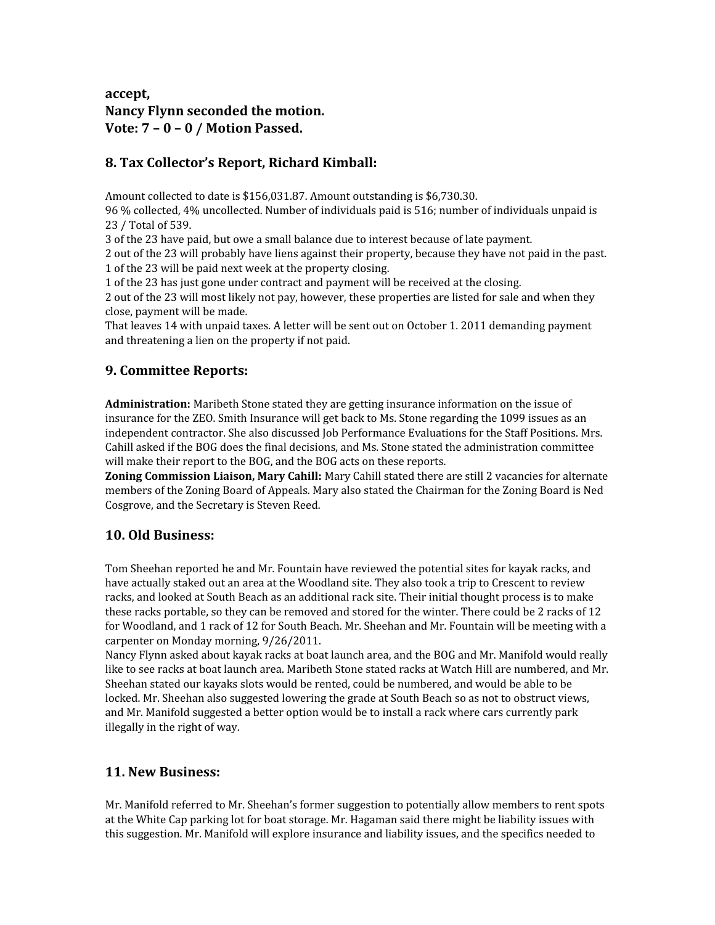## **accept, Nancy Flynn seconded the motion. Vote: 7 – 0 – 0 / Motion Passed.**

## **8. Tax Collector's Report, Richard Kimball:**

Amount collected to date is \$156,031.87. Amount outstanding is \$6,730.30.

96 % collected, 4% uncollected. Number of individuals paid is 516; number of individuals unpaid is 23 / Total of 539.

3 of the 23 have paid, but owe a small balance due to interest because of late payment.

2 out of the 23 will probably have liens against their property, because they have not paid in the past. 1 of the 23 will be paid next week at the property closing.

1 of the 23 has just gone under contract and payment will be received at the closing.

2 out of the 23 will most likely not pay, however, these properties are listed for sale and when they close, payment will be made.

That leaves 14 with unpaid taxes. A letter will be sent out on October 1. 2011 demanding payment and threatening a lien on the property if not paid.

## **9. Committee Reports:**

**Administration:** Maribeth Stone stated they are getting insurance information on the issue of insurance for the ZEO. Smith Insurance will get back to Ms. Stone regarding the 1099 issues as an independent contractor. She also discussed Job Performance Evaluations for the Staff Positions. Mrs. Cahill asked if the BOG does the final decisions, and Ms. Stone stated the administration committee will make their report to the BOG, and the BOG acts on these reports.

**Zoning Commission Liaison, Mary Cahill:** Mary Cahill stated there are still 2 vacancies for alternate members of the Zoning Board of Appeals. Mary also stated the Chairman for the Zoning Board is Ned Cosgrove, and the Secretary is Steven Reed.

## **10. Old Business:**

Tom Sheehan reported he and Mr. Fountain have reviewed the potential sites for kayak racks, and have actually staked out an area at the Woodland site. They also took a trip to Crescent to review racks, and looked at South Beach as an additional rack site. Their initial thought process is to make these racks portable, so they can be removed and stored for the winter. There could be 2 racks of 12 for Woodland, and 1 rack of 12 for South Beach. Mr. Sheehan and Mr. Fountain will be meeting with a carpenter on Monday morning, 9/26/2011.

Nancy Flynn asked about kayak racks at boat launch area, and the BOG and Mr. Manifold would really like to see racks at boat launch area. Maribeth Stone stated racks at Watch Hill are numbered, and Mr. Sheehan stated our kayaks slots would be rented, could be numbered, and would be able to be locked. Mr. Sheehan also suggested lowering the grade at South Beach so as not to obstruct views, and Mr. Manifold suggested a better option would be to install a rack where cars currently park illegally in the right of way.

## **11. New Business:**

Mr. Manifold referred to Mr. Sheehan's former suggestion to potentially allow members to rent spots at the White Cap parking lot for boat storage. Mr. Hagaman said there might be liability issues with this suggestion. Mr. Manifold will explore insurance and liability issues, and the specifics needed to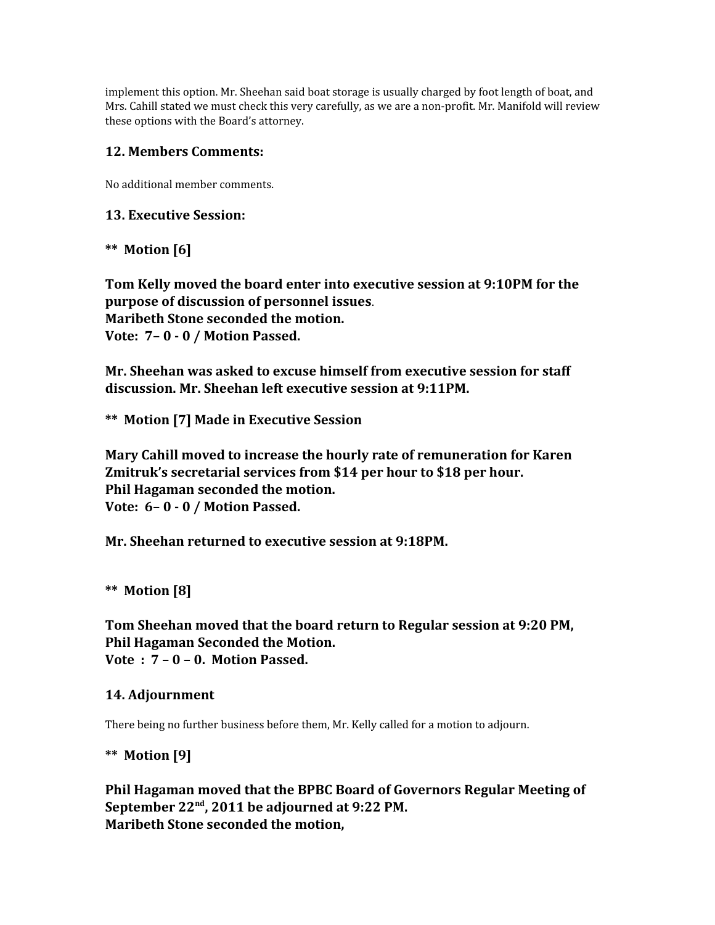implement this option. Mr. Sheehan said boat storage is usually charged by foot length of boat, and Mrs. Cahill stated we must check this very carefully, as we are a non-profit. Mr. Manifold will review these options with the Board's attorney.

### **12. Members Comments:**

No additional member comments.

### **13. Executive Session:**

### **\*\* Motion [6]**

**Tom Kelly moved the board enter into executive session at 9:10PM for the purpose of discussion of personnel issues**. **Maribeth Stone seconded the motion. Vote: 7– 0 - 0 / Motion Passed.**

**Mr. Sheehan was asked to excuse himself from executive session for staff discussion. Mr. Sheehan left executive session at 9:11PM.**

**\*\* Motion [7] Made in Executive Session**

**Mary Cahill moved to increase the hourly rate of remuneration for Karen Zmitruk's secretarial services from \$14 per hour to \$18 per hour. Phil Hagaman seconded the motion. Vote: 6– 0 - 0 / Motion Passed.**

**Mr. Sheehan returned to executive session at 9:18PM.**

## **\*\* Motion [8]**

**Tom Sheehan moved that the board return to Regular session at 9:20 PM, Phil Hagaman Seconded the Motion. Vote : 7 – 0 – 0. Motion Passed.**

### **14. Adjournment**

There being no further business before them, Mr. Kelly called for a motion to adjourn.

**\*\* Motion [9]**

**Phil Hagaman moved that the BPBC Board of Governors Regular Meeting of September 22nd, 2011 be adjourned at 9:22 PM. Maribeth Stone seconded the motion,**